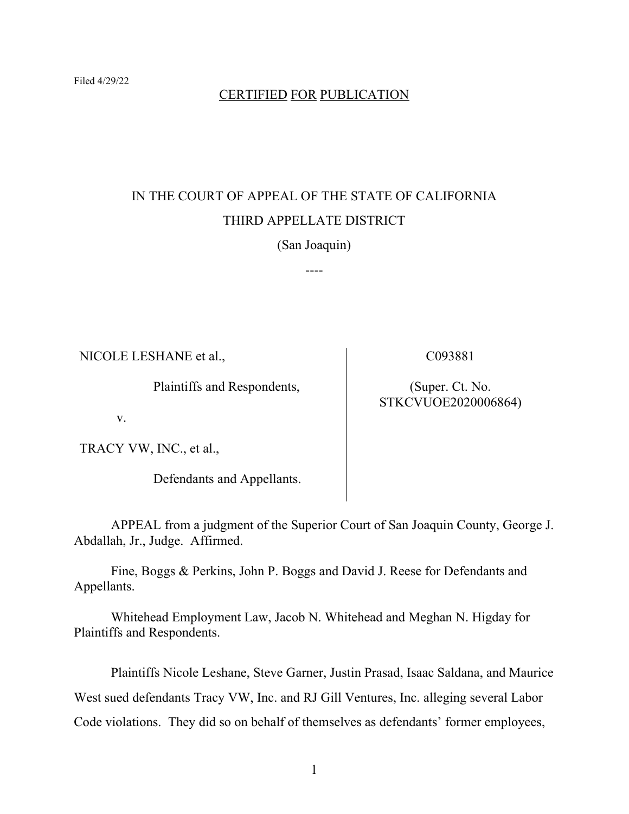## CERTIFIED FOR PUBLICATION

## IN THE COURT OF APPEAL OF THE STATE OF CALIFORNIA THIRD APPELLATE DISTRICT

(San Joaquin)

----

NICOLE LESHANE et al.,

Plaintiffs and Respondents,

C093881

(Super. Ct. No. STKCVUOE2020006864)

v.

TRACY VW, INC., et al.,

Defendants and Appellants.

APPEAL from a judgment of the Superior Court of San Joaquin County, George J. Abdallah, Jr., Judge. Affirmed.

Fine, Boggs & Perkins, John P. Boggs and David J. Reese for Defendants and Appellants.

Whitehead Employment Law, Jacob N. Whitehead and Meghan N. Higday for Plaintiffs and Respondents.

Plaintiffs Nicole Leshane, Steve Garner, Justin Prasad, Isaac Saldana, and Maurice West sued defendants Tracy VW, Inc. and RJ Gill Ventures, Inc. alleging several Labor Code violations. They did so on behalf of themselves as defendants' former employees,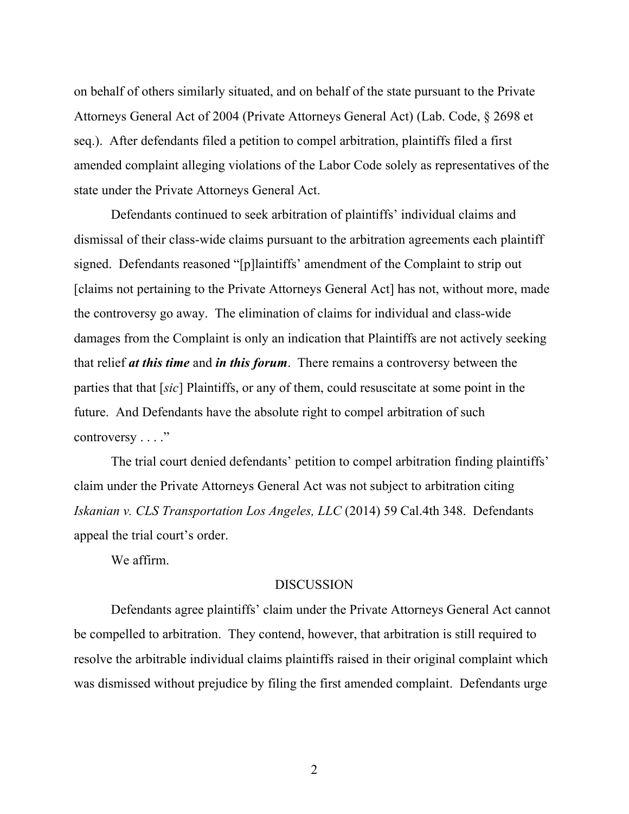on behalf of others similarly situated, and on behalf of the state pursuant to the Private Attorneys General Act of 2004 (Private Attorneys General Act) (Lab. Code, § 2698 et seq.). After defendants filed a petition to compel arbitration, plaintiffs filed a first amended complaint alleging violations of the Labor Code solely as representatives of the state under the Private Attorneys General Act.

Defendants continued to seek arbitration of plaintiffs' individual claims and dismissal of their class-wide claims pursuant to the arbitration agreements each plaintiff signed. Defendants reasoned "[p]laintiffs' amendment of the Complaint to strip out [claims not pertaining to the Private Attorneys General Act] has not, without more, made the controversy go away. The elimination of claims for individual and class-wide damages from the Complaint is only an indication that Plaintiffs are not actively seeking that relief *at this time* and *in this forum*. There remains a controversy between the parties that that [*sic*] Plaintiffs, or any of them, could resuscitate at some point in the future. And Defendants have the absolute right to compel arbitration of such controversy . . . ."

The trial court denied defendants' petition to compel arbitration finding plaintiffs' claim under the Private Attorneys General Act was not subject to arbitration citing *Iskanian v. CLS Transportation Los Angeles, LLC* (2014) 59 Cal.4th 348. Defendants appeal the trial court's order.

We affirm.

## **DISCUSSION**

Defendants agree plaintiffs' claim under the Private Attorneys General Act cannot be compelled to arbitration. They contend, however, that arbitration is still required to resolve the arbitrable individual claims plaintiffs raised in their original complaint which was dismissed without prejudice by filing the first amended complaint. Defendants urge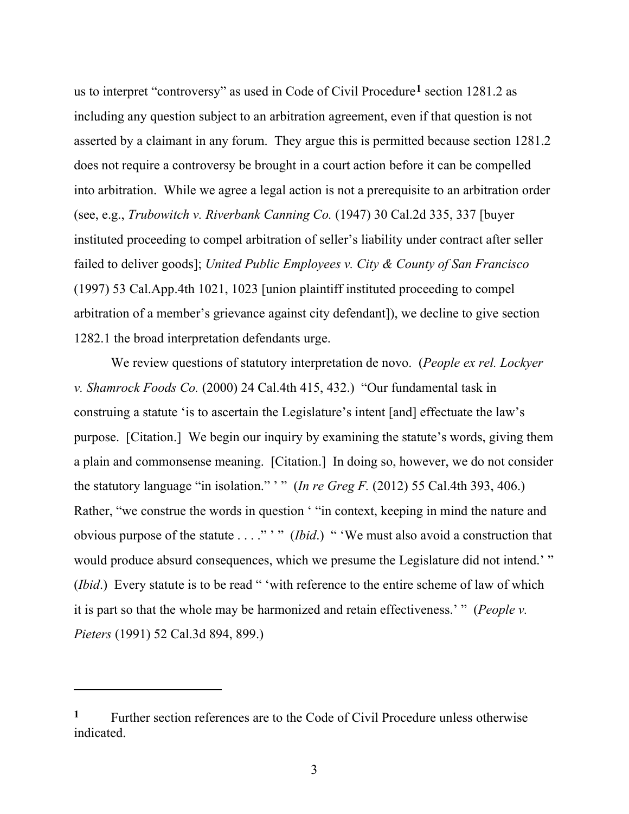us to interpret "controversy" as used in Code of Civil Procedure**[1](#page-2-0)** section 1281.2 as including any question subject to an arbitration agreement, even if that question is not asserted by a claimant in any forum. They argue this is permitted because section 1281.2 does not require a controversy be brought in a court action before it can be compelled into arbitration. While we agree a legal action is not a prerequisite to an arbitration order (see, e.g., *Trubowitch v. Riverbank Canning Co.* (1947) 30 Cal.2d 335, 337 [buyer instituted proceeding to compel arbitration of seller's liability under contract after seller failed to deliver goods]; *United Public Employees v. City & County of San Francisco*  (1997) 53 Cal.App.4th 1021, 1023 [union plaintiff instituted proceeding to compel arbitration of a member's grievance against city defendant]), we decline to give section 1282.1 the broad interpretation defendants urge.

We review questions of statutory interpretation de novo. (*People ex rel. Lockyer v. Shamrock Foods Co.* (2000) 24 Cal.4th 415, 432.) "Our fundamental task in construing a statute 'is to ascertain the Legislature's intent [and] effectuate the law's purpose. [Citation.] We begin our inquiry by examining the statute's words, giving them a plain and commonsense meaning. [Citation.] In doing so, however, we do not consider the statutory language "in isolation."  $\cdot$ " (*In re Greg F.* (2012) 55 Cal.4th 393, 406.) Rather, "we construe the words in question ' "in context, keeping in mind the nature and obvious purpose of the statute . . . ." ' " (*Ibid*.) " 'We must also avoid a construction that would produce absurd consequences, which we presume the Legislature did not intend.' " (*Ibid*.) Every statute is to be read " 'with reference to the entire scheme of law of which it is part so that the whole may be harmonized and retain effectiveness.' " (*People v. Pieters* (1991) 52 Cal.3d 894, 899.)

<span id="page-2-0"></span>**<sup>1</sup>** Further section references are to the Code of Civil Procedure unless otherwise indicated.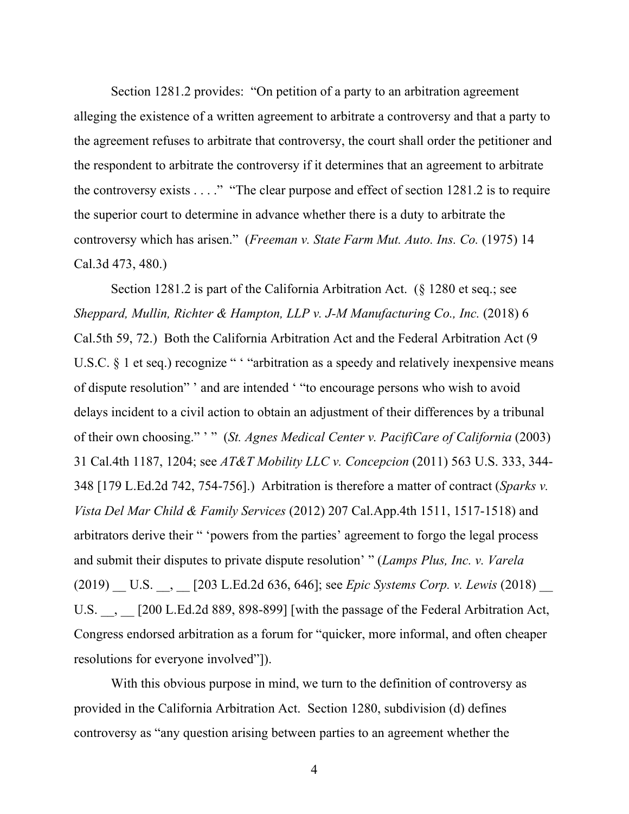Section 1281.2 provides: "On petition of a party to an arbitration agreement alleging the existence of a written agreement to arbitrate a controversy and that a party to the agreement refuses to arbitrate that controversy, the court shall order the petitioner and the respondent to arbitrate the controversy if it determines that an agreement to arbitrate the controversy exists  $\dots$ ." "The clear purpose and effect of section 1281.2 is to require the superior court to determine in advance whether there is a duty to arbitrate the controversy which has arisen." (*Freeman v. State Farm Mut. Auto. Ins. Co.* (1975) 14 Cal.3d 473, 480.)

Section 1281.2 is part of the California Arbitration Act. (§ 1280 et seq.; see *Sheppard, Mullin, Richter & Hampton, LLP v. J-M Manufacturing Co., Inc.* (2018) 6 Cal.5th 59, 72.) Both the California Arbitration Act and the Federal Arbitration Act (9 U.S.C.  $\S$  1 et seq.) recognize " "arbitration as a speedy and relatively inexpensive means of dispute resolution" ' and are intended ' "to encourage persons who wish to avoid delays incident to a civil action to obtain an adjustment of their differences by a tribunal of their own choosing." ' " (*St. Agnes Medical Center v. PacifiCare of California* (2003) 31 Cal.4th 1187, 1204; see *AT&T Mobility LLC v. Concepcion* (2011) 563 U.S. 333, 344- 348 [179 L.Ed.2d 742, 754-756].) Arbitration is therefore a matter of contract (*Sparks v. Vista Del Mar Child & Family Services* (2012) 207 Cal.App.4th 1511, 1517-1518) and arbitrators derive their " 'powers from the parties' agreement to forgo the legal process and submit their disputes to private dispute resolution' " (*Lamps Plus, Inc. v. Varela* (2019) \_\_ U.S. \_\_, \_\_ [203 L.Ed.2d 636, 646]; see *Epic Systems Corp. v. Lewis* (2018) \_\_ U.S. \_\_, \_\_ [200 L.Ed.2d 889, 898-899] [with the passage of the Federal Arbitration Act, Congress endorsed arbitration as a forum for "quicker, more informal, and often cheaper resolutions for everyone involved"]).

With this obvious purpose in mind, we turn to the definition of controversy as provided in the California Arbitration Act. Section 1280, subdivision (d) defines controversy as "any question arising between parties to an agreement whether the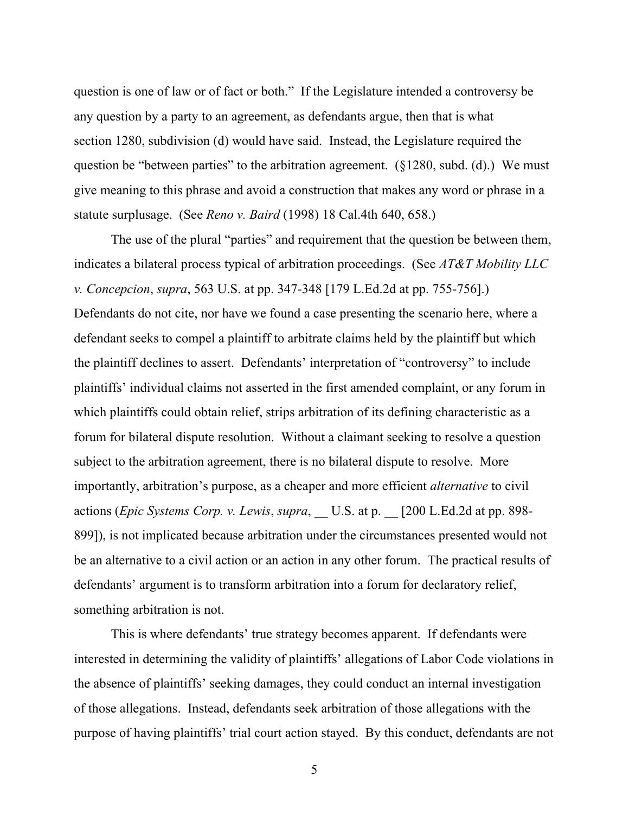question is one of law or of fact or both." If the Legislature intended a controversy be any question by a party to an agreement, as defendants argue, then that is what section 1280, subdivision (d) would have said. Instead, the Legislature required the question be "between parties" to the arbitration agreement.  $(\S 1280, \text{subd.} (d))$  We must give meaning to this phrase and avoid a construction that makes any word or phrase in a statute surplusage. (See *Reno v. Baird* (1998) 18 Cal.4th 640, 658.)

The use of the plural "parties" and requirement that the question be between them, indicates a bilateral process typical of arbitration proceedings. (See *AT&T Mobility LLC v. Concepcion*, *supra*, 563 U.S. at pp. 347-348 [179 L.Ed.2d at pp. 755-756].) Defendants do not cite, nor have we found a case presenting the scenario here, where a defendant seeks to compel a plaintiff to arbitrate claims held by the plaintiff but which the plaintiff declines to assert. Defendants' interpretation of "controversy" to include plaintiffs' individual claims not asserted in the first amended complaint, or any forum in which plaintiffs could obtain relief, strips arbitration of its defining characteristic as a forum for bilateral dispute resolution. Without a claimant seeking to resolve a question subject to the arbitration agreement, there is no bilateral dispute to resolve. More importantly, arbitration's purpose, as a cheaper and more efficient *alternative* to civil actions (*Epic Systems Corp. v. Lewis*, *supra*, \_\_ U.S. at p. \_\_ [200 L.Ed.2d at pp. 898- 899]), is not implicated because arbitration under the circumstances presented would not be an alternative to a civil action or an action in any other forum. The practical results of defendants' argument is to transform arbitration into a forum for declaratory relief, something arbitration is not.

This is where defendants' true strategy becomes apparent. If defendants were interested in determining the validity of plaintiffs' allegations of Labor Code violations in the absence of plaintiffs' seeking damages, they could conduct an internal investigation of those allegations. Instead, defendants seek arbitration of those allegations with the purpose of having plaintiffs' trial court action stayed. By this conduct, defendants are not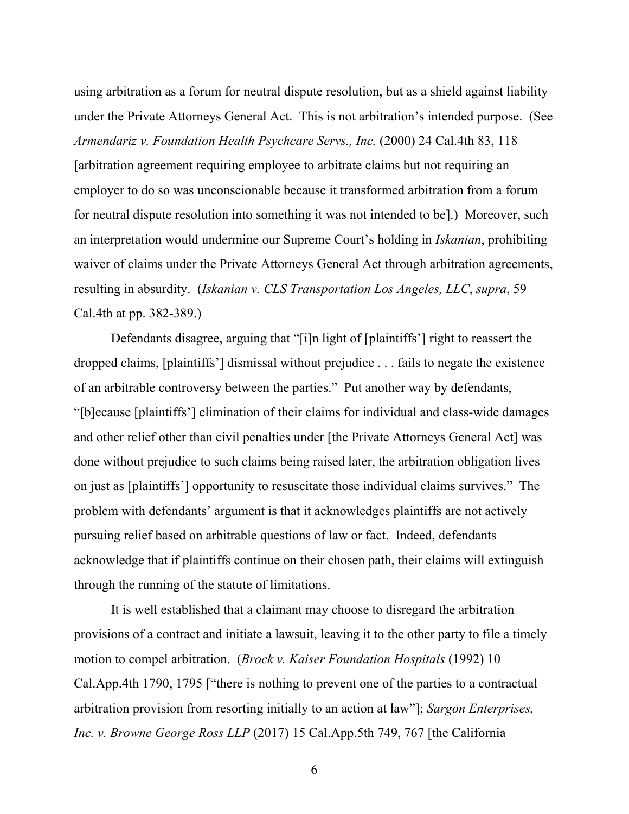using arbitration as a forum for neutral dispute resolution, but as a shield against liability under the Private Attorneys General Act. This is not arbitration's intended purpose. (See *Armendariz v. Foundation Health Psychcare Servs., Inc.* (2000) 24 Cal.4th 83, 118 [arbitration agreement requiring employee to arbitrate claims but not requiring an employer to do so was unconscionable because it transformed arbitration from a forum for neutral dispute resolution into something it was not intended to be].) Moreover, such an interpretation would undermine our Supreme Court's holding in *Iskanian*, prohibiting waiver of claims under the Private Attorneys General Act through arbitration agreements, resulting in absurdity. (*Iskanian v. CLS Transportation Los Angeles, LLC*, *supra*, 59 Cal.4th at pp. 382-389.)

Defendants disagree, arguing that "[i]n light of [plaintiffs'] right to reassert the dropped claims, [plaintiffs'] dismissal without prejudice . . . fails to negate the existence of an arbitrable controversy between the parties." Put another way by defendants, "[b]ecause [plaintiffs'] elimination of their claims for individual and class-wide damages and other relief other than civil penalties under [the Private Attorneys General Act] was done without prejudice to such claims being raised later, the arbitration obligation lives on just as [plaintiffs'] opportunity to resuscitate those individual claims survives." The problem with defendants' argument is that it acknowledges plaintiffs are not actively pursuing relief based on arbitrable questions of law or fact. Indeed, defendants acknowledge that if plaintiffs continue on their chosen path, their claims will extinguish through the running of the statute of limitations.

It is well established that a claimant may choose to disregard the arbitration provisions of a contract and initiate a lawsuit, leaving it to the other party to file a timely motion to compel arbitration. (*Brock v. Kaiser Foundation Hospitals* (1992) 10 Cal.App.4th 1790, 1795 ["there is nothing to prevent one of the parties to a contractual arbitration provision from resorting initially to an action at law"]; *Sargon Enterprises, Inc. v. Browne George Ross LLP* (2017) 15 Cal.App.5th 749, 767 [the California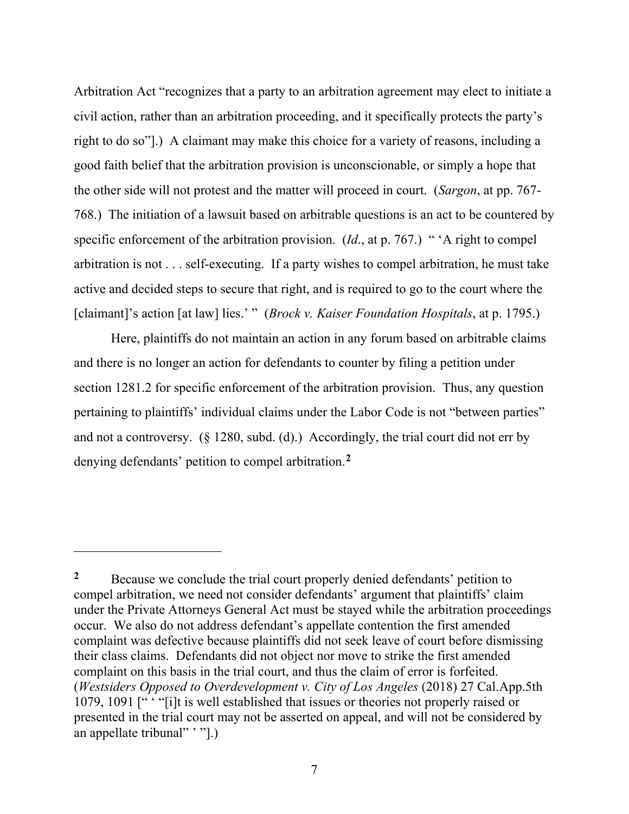Arbitration Act "recognizes that a party to an arbitration agreement may elect to initiate a civil action, rather than an arbitration proceeding, and it specifically protects the party's right to do so"].) A claimant may make this choice for a variety of reasons, including a good faith belief that the arbitration provision is unconscionable, or simply a hope that the other side will not protest and the matter will proceed in court. (*Sargon*, at pp. 767- 768.) The initiation of a lawsuit based on arbitrable questions is an act to be countered by specific enforcement of the arbitration provision. (*Id*., at p. 767.) " 'A right to compel arbitration is not . . . self-executing. If a party wishes to compel arbitration, he must take active and decided steps to secure that right, and is required to go to the court where the [claimant]'s action [at law] lies.' " (*Brock v. Kaiser Foundation Hospitals*, at p. 1795.)

Here, plaintiffs do not maintain an action in any forum based on arbitrable claims and there is no longer an action for defendants to counter by filing a petition under section 1281.2 for specific enforcement of the arbitration provision. Thus, any question pertaining to plaintiffs' individual claims under the Labor Code is not "between parties" and not a controversy. (§ 1280, subd. (d).) Accordingly, the trial court did not err by denying defendants' petition to compel arbitration.**[2](#page-6-0)**

<span id="page-6-0"></span><sup>&</sup>lt;sup>2</sup> Because we conclude the trial court properly denied defendants' petition to compel arbitration, we need not consider defendants' argument that plaintiffs' claim under the Private Attorneys General Act must be stayed while the arbitration proceedings occur. We also do not address defendant's appellate contention the first amended complaint was defective because plaintiffs did not seek leave of court before dismissing their class claims. Defendants did not object nor move to strike the first amended complaint on this basis in the trial court, and thus the claim of error is forfeited. (*Westsiders Opposed to Overdevelopment v. City of Los Angeles* (2018) 27 Cal.App.5th 1079, 1091 [" ' "[i]t is well established that issues or theories not properly raised or presented in the trial court may not be asserted on appeal, and will not be considered by an appellate tribunal" '".)